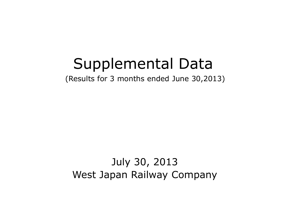# Supplemental Data

(Results for 3 months ended June 30,2013)

## July 30, 2013 West Japan Railway Company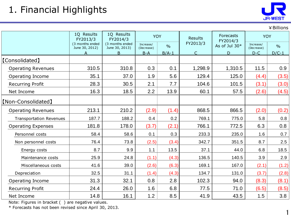## 1. Financial Highlights



¥Billions

1

|                                | 1Q Results<br>FY2013/3            | 1Q Results<br>FY2014/3            | <b>YOY</b>              |               | <b>Results</b> | <b>Forecasts</b><br>FY2014/3 | <b>YOY</b>              |               |
|--------------------------------|-----------------------------------|-----------------------------------|-------------------------|---------------|----------------|------------------------------|-------------------------|---------------|
|                                | (3 months ended<br>June 30, 2012) | (3 months ended<br>June 30, 2013) | Increase/<br>(Decrease) | $\frac{0}{0}$ | FY2013/3       | As of Jul 30*                | Increase/<br>(Decrease) | $\frac{0}{0}$ |
|                                | A                                 | B                                 | $B-A$                   | $B/A-1$       | $\mathsf{C}$   | D                            | $D-C$                   | $D/C-1$       |
| <b>[Consolidated]</b>          |                                   |                                   |                         |               |                |                              |                         |               |
| <b>Operating Revenues</b>      | 310.5                             | 310.8                             | 0.3                     | 0.1           | 1,298.9        | 1,310.5                      | 11.5                    | 0.9           |
| Operating Income               | 35.1                              | 37.0                              | 1.9                     | 5.6           | 129.4          | 125.0                        | (4.4)                   | (3.5)         |
| <b>Recurring Profit</b>        | 28.3                              | 30.5                              | 2.1                     | 7.7           | 104.6          | 101.5                        | (3.1)                   | (3.0)         |
| Net Income                     | 16.3                              | 18.5                              | 2.2                     | 13.9          | 60.1           | 57.5                         | (2.6)                   | (4.5)         |
| [Non-Consolidated]             |                                   |                                   |                         |               |                |                              |                         |               |
| <b>Operating Revenues</b>      | 213.1                             | 210.2                             | (2.9)                   | (1.4)         | 868.5          | 866.5                        | (2.0)                   | (0.2)         |
| <b>Transportation Revenues</b> | 187.7                             | 188.2                             | 0.4                     | 0.2           | 769.1          | 775.0                        | 5.8                     | 0.8           |
| <b>Operating Expenses</b>      | 181.8                             | 178.0                             | (3.7)                   | (2.1)         | 766.1          | 772.5                        | 6.3                     | 0.8           |
| Personnel costs                | 58.4                              | 58.6                              | 0.1                     | 0.3           | 233.3          | 235.0                        | 1.6                     | 0.7           |
| Non personnel costs            | 76.4                              | 73.8                              | (2.5)                   | (3.4)         | 342.7          | 351.5                        | 8.7                     | 2.5           |
| Energy costs                   | 8.7                               | 9.9                               | 1.1                     | 13.5          | 37.1           | 44.0                         | 6.8                     | 18.5          |
| Maintenance costs              | 25.9                              | 24.8                              | (1.1)                   | (4.3)         | 136.5          | 140.5                        | 3.9                     | 2.9           |
| Miscellaneous costs            | 41.6                              | 39.0                              | (2.6)                   | (6.3)         | 169.1          | 167.0                        | (2.1)                   | (1.2)         |
| Depreciation                   | 32.5                              | 31.1                              | (1.4)                   | (4.3)         | 134.7          | 131.0                        | (3.7)                   | (2.8)         |
| Operating Income               | 31.3                              | 32.1                              | 0.8                     | 2.8           | 102.3          | 94.0                         | (8.3)                   | (8.1)         |
| <b>Recurring Profit</b>        | 24.4                              | 26.0                              | 1.6                     | 6.8           | 77.5           | 71.0                         | (6.5)                   | (8.5)         |
| Net Income                     | 14.8                              | 16.1                              | 1.2                     | 8.5           | 41.9           | 43.5                         | 1.5                     | 3.8           |

Note: Figures in bracket ( ) are negative values.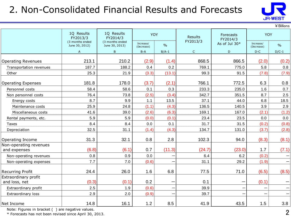### 2. Non-Consolidated Financial Results and Forecasts



|                                        |                                   |                                   |                         |               |              |                       |                         | ¥ Billions               |
|----------------------------------------|-----------------------------------|-----------------------------------|-------------------------|---------------|--------------|-----------------------|-------------------------|--------------------------|
|                                        | 1Q Results<br>FY2013/3            | 1Q Results<br>FY2014/3            | <b>YOY</b>              |               | Results      | Forecasts<br>FY2014/3 | YOY                     |                          |
|                                        | (3 months ended<br>June 30, 2012) | (3 months ended<br>June 30, 2013) | Increase/<br>(Decrease) | $\frac{0}{0}$ | FY2013/3     | As of Jul 30*         | Increase/<br>(Decrease) | $\frac{0}{0}$            |
|                                        | A                                 | B                                 | $B-A$                   | $B/A-1$       | $\mathsf{C}$ | D                     | $D-C$                   | $D/C-1$                  |
| <b>Operating Revenues</b>              | 213.1                             | 210.2                             | (2.9)                   | (1.4)         | 868.5        | 866.5                 | (2.0)                   | (0.2)                    |
| Transportation revenues                | 187.7                             | 188.2                             | 0.4                     | 0.2           | 769.1        | 775.0                 | 5.8                     | 0.8                      |
| Other                                  | 25.3                              | 21.9                              | (3.3)                   | (13.1)        | 99.3         | 91.5                  | (7.8)                   | (7.9)                    |
| <b>Operating Expenses</b>              | 181.8                             | 178.0                             | (3.7)                   | (2.1)         | 766.1        | 772.5                 | 6.3                     | 0.8                      |
| Personnel costs                        | 58.4                              | 58.6                              | 0.1                     | 0.3           | 233.3        | 235.0                 | 1.6                     | 0.7                      |
| Non personnel costs                    | 76.4                              | 73.8                              | (2.5)                   | (3.4)         | 342.7        | 351.5                 | 8.7                     | 2.5                      |
| Energy costs                           | 8.7                               | 9.9                               | 1.1                     | 13.5          | 37.1         | 44.0                  | 6.8                     | 18.5                     |
| Maintenance costs                      | 25.9                              | 24.8                              | (1.1)                   | (4.3)         | 136.5        | 140.5                 | 3.9                     | 2.9                      |
| Miscellaneous costs                    | 41.6                              | 39.0                              | (2.6)                   | (6.3)         | 169.1        | 167.0                 | (2.1)                   | (1.2)                    |
| Rental payments, etc.                  | 5.9                               | 5.9                               | (0.0)                   | (0.1)         | 23.4         | 23.5                  | 0.0                     | 0.0                      |
| Taxes                                  | 8.4                               | 8.4                               | 0.0                     | 0.1           | 31.7         | 31.5                  | (0.2)                   | (0.8)                    |
| Depreciation                           | 32.5                              | 31.1                              | (1.4)                   | (4.3)         | 134.7        | 131.0                 | (3.7)                   | (2.8)                    |
| Operating Income                       | 31.3                              | 32.1                              | 0.8                     | 2.8           | 102.3        | 94.0                  | (8.3)                   | (8.1)                    |
| Non-operating revenues<br>and expenses | (6.8)                             | (6.1)                             | 0.7                     | (11.3)        | (24.7)       | (23.0)                | 1.7                     | (7.1)                    |
| Non-operating revenues                 | 0.8                               | 0.9                               | 0.0                     |               | 6.4          | 6.2                   | (0.2)                   | —                        |
| Non-operating expenses                 | 7.7                               | 7.0                               | (0.6)                   | -             | 31.1         | 29.2                  | (1.9)                   | $\overline{\phantom{m}}$ |
| <b>Recurring Profit</b>                | 24.4                              | 26.0                              | 1.6                     | 6.8           | 77.5         | 71.0                  | (6.5)                   | (8.5)                    |
| Extraordinary profit<br>and loss, net  | (0.3)                             | (0.1)                             | 0.2                     |               | 0.1          |                       | (0.1)                   |                          |
| Extraordinary profit                   | 2.5                               | 1.9                               | (0.6)                   |               | 39.9         |                       |                         |                          |
| Extraordinary loss                     | 2.9                               | 2.0                               | (0.9)                   |               | 39.7         |                       |                         | $\qquad \qquad -$        |
| Net Income                             | 14.8                              | 16.1                              | 1.2                     | 8.5           | 41.9         | 43.5                  | 1.5                     | 3.8                      |

Note: Figures in bracket ( ) are negative values.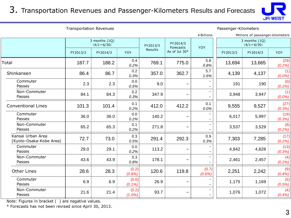3. Transportation Revenues and Passenger-Kilometers Results and Forecasts



Transportation Revenues **Passenger-Kilometers** 

| Millions of passenger-kilometers     |          |                   |  |
|--------------------------------------|----------|-------------------|--|
| 3 months $(1Q)$<br>$(4/1 \sim 6/30)$ |          |                   |  |
| FY2013/3                             | FY2014/3 | YOY               |  |
| 13,694                               | 13,665   | (29)<br>(0.2%)    |  |
| 4,139                                | 4,137    | (1)<br>$(0.0\%)$  |  |
| 191                                  | 190      | (0)<br>$(0.2\%)$  |  |
| 3,948                                | 3,947    | (1)<br>$(0.0\%)$  |  |
| 9,555                                | 9,527    | (27)<br>(0.3%)    |  |
| 6,017                                | 5,997    | (19)<br>(0.3%)    |  |
| 3,537                                | 3,529    | (8)<br>$(0.2\%)$  |  |
| 7,303                                | 7,285    | (17)<br>$(0.2\%)$ |  |
| 4,842                                | 4,828    | (13)<br>(0.3%)    |  |
| 2,461                                | 2,457    | (4)<br>$(0.2\%)$  |  |
| 2,251                                | 2,242    | (9)<br>(0.4%)     |  |
| 1,175                                | 1,169    | (5)<br>(0.5%)     |  |
| 1,076                                | 1,072    | (4)<br>$(0.4\%)$  |  |
|                                      |          |                   |  |

Note: Figures in bracket ( ) are negative values.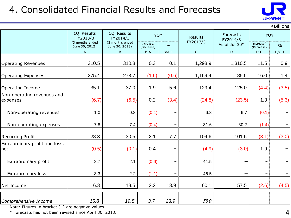#### 4. Consolidated Financial Results and Forecasts



 $¥$  Billions

|                                        | 1Q Results<br>FY2013/3            | 1Q Results<br>FY2014/3            | <b>YOY</b>              |               | <b>Results</b> | Forecasts<br>FY2014/3 | <b>YOY</b>               |                   |
|----------------------------------------|-----------------------------------|-----------------------------------|-------------------------|---------------|----------------|-----------------------|--------------------------|-------------------|
|                                        | (3 months ended<br>June 30, 2012) | (3 months ended<br>June 30, 2013) | Increase/<br>(Decrease) | $\frac{0}{0}$ | FY2013/3       | As of Jul 30*         | Increase/<br>(Decrease)  | $\frac{0}{0}$     |
|                                        | $\boldsymbol{\mathsf{A}}$         | B                                 | $B-A$                   | $B/A-1$       | $\mathsf C$    | D                     | $D-C$                    | $D/C-1$           |
| <b>Operating Revenues</b>              | 310.5                             | 310.8                             | 0.3                     | 0.1           | 1,298.9        | 1,310.5               | 11.5                     | 0.9               |
| <b>Operating Expenses</b>              | 275.4                             | 273.7                             | (1.6)                   | (0.6)         | 1,169.4        | 1,185.5               | 16.0                     | 1.4               |
| Operating Income                       | 35.1                              | 37.0                              | 1.9                     | 5.6           | 129.4          | 125.0                 | (4.4)                    | (3.5)             |
| Non-operating revenues and<br>expenses | (6.7)                             | (6.5)                             | 0.2                     | (3.4)         | (24.8)         | (23.5)                | 1.3                      | (5.3)             |
| Non-operating revenues                 | 1.0                               | 0.8                               | (0.1)                   |               | 6.8            | 6.7                   | (0.1)                    |                   |
| Non-operating expenses                 | 7.8                               | 7.4                               | (0.4)                   |               | 31.6           | 30.2                  | (1.4)                    |                   |
| <b>Recurring Profit</b>                | 28.3                              | 30.5                              | 2.1                     | 7.7           | 104.6          | 101.5                 | (3.1)                    | (3.0)             |
| Extraordinary profit and loss,<br>net  | (0.5)                             | (0.1)                             | 0.4                     |               | (4.9)          | (3.0)                 | 1.9                      |                   |
| Extraordinary profit                   | 2.7                               | 2.1                               | (0.6)                   | -             | 41.5           |                       | $\overline{\phantom{m}}$ |                   |
| <b>Extraordinary loss</b>              | 3.3                               | 2.2                               | (1.1)                   |               | 46.5           |                       | $\overline{\phantom{a}}$ | $\qquad \qquad -$ |
| Net Income                             | 16.3                              | 18.5                              | 2.2                     | 13.9          | 60.1           | 57.5                  | (2.6)                    | (4.5)             |
| Comprehensive Income                   | 15.8                              | 19.5                              | 3.7                     | 23.9          | 55.0           |                       |                          |                   |

Note: Figures in bracket ( ) are negative values.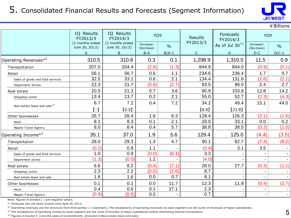#### 5. Consolidated Financial Results and Forecasts (Segment Information)



|                                          |                                                  |                                              |                                  |                          |                         |                          |                                  | <b>JR-WEST</b>           |
|------------------------------------------|--------------------------------------------------|----------------------------------------------|----------------------------------|--------------------------|-------------------------|--------------------------|----------------------------------|--------------------------|
|                                          |                                                  |                                              |                                  |                          |                         |                          |                                  | ¥ Billions               |
|                                          | 1Q Results<br>FY2013/3                           | 1Q Results<br>FY2014/3                       | <b>YOY</b>                       |                          | <b>Results</b>          | Forecasts<br>FY2014/3    | <b>YOY</b>                       |                          |
|                                          | (3 months ended<br>June 30, 2012)<br>A           | (3 months ended<br>June 30, 2013)<br>$\sf B$ | Increase/<br>(Decrease)<br>$B-A$ | $\frac{0}{0}$<br>$B/A-1$ | FY2013/3<br>$\mathsf C$ | As of Jul $30^{*1}$<br>D | Increase/<br>(Decrease)<br>$D-C$ | $\frac{0}{0}$<br>$D/C-1$ |
| Operating Revenues $*^2$                 | 310.5                                            | 310.8                                        | 0.3                              | 0.1                      | 1,298.9                 | 1,310.5                  | 11.5                             | 0.9                      |
|                                          | 207.0                                            | 204.4                                        |                                  |                          | 844.9                   | 844.0                    |                                  |                          |
| Transportation                           |                                                  |                                              | (2.6)                            | (1.3)                    |                         |                          | (0.9)                            | (0.1)                    |
| Retail                                   | 56.1                                             | 56.7                                         | 0.6                              | 1.1                      | 234.6                   | 236.4                    | 1.7                              | 0.7                      |
| Sales of goods and food services         | 32.5<br>22.3                                     | 33.1<br>21.7                                 | 0.6<br>(0.6)                     | 2.1<br>(2.7)             | 134.4<br>93.5           | 131.6<br>96.0            | (2.8)<br>2.4                     | (2.1)<br>2.7             |
| Department Stores                        |                                                  |                                              |                                  |                          |                         |                          |                                  |                          |
| Real estate                              | 20.5                                             | 21.3                                         | 0.7                              | 3.6                      | 90.9                    | 103.8                    | 12.8                             | 14.2                     |
| Shopping center                          | 13.4                                             | 13.7                                         | 0.2                              | 2.1                      | 55.0                    | 52.7                     | (2.3)                            | (4.3)                    |
| Real estate lease and sale* <sup>4</sup> | 6.7                                              | 7.2                                          | 0.4                              | 7.2                      | 34.2                    | 49.4                     | 15.1                             | 44.0                     |
|                                          | $\left[ \begin{array}{c} -1 \end{array} \right]$ | [0.3]                                        |                                  |                          | [6.9]                   | [21.8]                   |                                  |                          |
| Other businesses                         | 26.7                                             | 28.4                                         | 1.6                              | 6.3                      | 128.4                   | 126.3                    | (2.1)                            | (1.6)                    |
| Hotel                                    | 8.1                                              | 8.3                                          | 0.1                              | 2.1                      | 33.0                    | 33.1                     | 0.0                              | 0.2                      |
| Nippon Travel Agency                     | 8.0                                              | 8.4                                          | 0.4                              | 5.7                      | 38.8                    | 38.5                     | (0.3)                            | (1.0)                    |
| Operating Income* <sup>3</sup>           | 35.1                                             | 37.0                                         | 1.9                              | 5.6                      | 129.4                   | 125.0                    | (4.4)                            | (3.5)                    |
| Transportation                           | 28.0                                             | 29.3                                         | 1.3                              | 4.7                      | 90.1                    | 82.7                     | (7.4)                            | (8.2)                    |
| Retail                                   | (0.2)                                            | 0.8                                          | 1.1                              |                          | (0.4)                   | 3.1                      | 3.5                              |                          |
| Sales of goods and food services         | 1.0                                              | 0.9                                          | (0.0)                            | (6.1)                    | 3.3                     |                          | $\blacksquare$                   |                          |
| Department stores                        | (1.3)                                            | (0.0)                                        | 1.2                              |                          | (4.0)                   |                          |                                  |                          |
| Real estate                              | 6.6                                              | 6.2                                          | (0.4)                            | (7.1)                    | 28.0                    | 27.7                     | (0.3)                            | (1.1)                    |
| Shopping center                          | 2.3                                              | 2.2                                          | (0.0)                            | (1.6)                    | 8.7                     |                          | $\blacksquare$                   |                          |
| Real estate lease and sale               | 1.6                                              | 1.6                                          | 0.0                              | 0.7                      | 8.1                     |                          | $\blacksquare$                   | $\sim$                   |
| Other businesses                         | 0.1                                              | 0.1                                          | 0.0                              | 11.7                     | 12.3                    | 11.9                     | (0.4)                            | (3.7)                    |
| Hotel                                    | 0.4                                              | 0.6                                          | 0.1                              | 37.1                     | 2.3                     |                          | $\blacksquare$                   |                          |
| Nippon Travel Agency                     | (0.9)                                            | (0.8)                                        | 0.0                              |                          | 0.7                     |                          |                                  |                          |

Note: Figures in bracket ( ) are negative values.

\* 1 Forecasts has not been revised since April 30, 2013.

 $*^2$  Operating revenues are the revenues from third parties ( = customers). The breakdowns of operating revenues by each segment are the sums of revenues of major subsidiaries.

 $*$ <sup>3</sup> The breakdowns of operating income by each segment are the sums of incomes of major subsidiaries before eliminating internal transactions.

\* 4 Figures in bracket 【 】 are the sales of condominiums. (Included in Real estate lease and sale)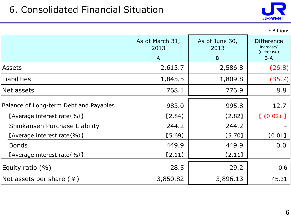### 6. Consolidated Financial Situation



|                                        |                         |                        | ¥Billions                                    |
|----------------------------------------|-------------------------|------------------------|----------------------------------------------|
|                                        | As of March 31,<br>2013 | As of June 30,<br>2013 | <b>Difference</b><br>increase/<br>(decrease) |
|                                        | $\overline{A}$          | B                      | $B-A$                                        |
| <b>Assets</b>                          | 2,613.7                 | 2,586.8                | (26.8)                                       |
| Liabilities                            | 1,845.5                 | 1,809.8                | (35.7)                                       |
| Net assets                             | 768.1                   | 776.9                  | 8.8                                          |
| Balance of Long-term Debt and Payables | 983.0                   | 995.8                  | 12.7                                         |
| [Average interest rate $(\% )$ ]       | [2.84]                  | $[2.82]$               | $[$ $(0.02)$ ]                               |
| Shinkansen Purchase Liability          | 244.2                   | 244.2                  |                                              |
| [Average interest rate $(\% )$ ]       | [5.69]                  | $[5.70]$               | [0.01]                                       |
| <b>Bonds</b>                           | 449.9                   | 449.9                  | 0.0                                          |
| [Average interest rate $(\% )$ ]       | $[2.11]$                | $[2.11]$               |                                              |
| Equity ratio $(% )$                    | 28.5                    | 29.2                   | 0.6                                          |
| Net assets per share $(*)$             | 3,850.82                | 3,896.13               | 45.31                                        |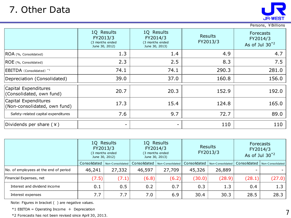### 7. Other Data



|                                                      |                                                             |                                                             |                            | <b>JR-WEST</b>                                      |
|------------------------------------------------------|-------------------------------------------------------------|-------------------------------------------------------------|----------------------------|-----------------------------------------------------|
|                                                      |                                                             |                                                             |                            | Persons, ¥Billions                                  |
|                                                      | 1Q Results<br>FY2013/3<br>(3 months ended<br>June 30, 2012) | 1Q Results<br>FY2014/3<br>(3 months ended<br>June 30, 2013) | <b>Results</b><br>FY2013/3 | <b>Forecasts</b><br>FY2014/3<br>As of Jul $30^{*2}$ |
| ROA (%, Consolidated)                                | 1.3                                                         | 1.4                                                         | 4.9                        | 4.7                                                 |
| ROE (%, Consolidated)                                | 2.3                                                         | 2.5                                                         | 8.3                        | 7.5                                                 |
| EBITDA (Consolidated) <sup>*1</sup>                  | 74.1                                                        | 74.1                                                        | 290.3                      | 281.0                                               |
| Depreciation (Consolidated)                          | 39.0                                                        | 37.0                                                        | 160.8                      | 156.0                                               |
| Capital Expenditures<br>(Consolidated, own fund)     | 20.7                                                        | 20.3                                                        | 152.9                      | 192.0                                               |
| Capital Expenditures<br>(Non-consolidated, own fund) | 17.3                                                        | 15.4                                                        | 124.8                      | 165.0                                               |
| Safety-related capital expenditures                  | 7.6                                                         | 9.7                                                         | 72.7                       | 89.0                                                |
| Dividends per share $(*)$                            | $\qquad \qquad =$                                           | -                                                           | 110                        | 110                                                 |

| Dividends per share ( ¥ )             |              | $\overline{\phantom{0}}$                                                                                                   |              | -                |                            | 110              | 110                                          |                  |  |
|---------------------------------------|--------------|----------------------------------------------------------------------------------------------------------------------------|--------------|------------------|----------------------------|------------------|----------------------------------------------|------------------|--|
|                                       |              |                                                                                                                            |              |                  |                            |                  |                                              |                  |  |
|                                       |              | 1Q Results<br>1Q Results<br>FY2013/3<br>FY2014/3<br>(3 months ended<br>(3 months ended<br>June 30, 2012)<br>June 30, 2013) |              |                  | <b>Results</b><br>FY2013/3 |                  | Forecasts<br>FY2014/3<br>As of Jul $30^{*2}$ |                  |  |
|                                       | Consolidated | Non-Consolidated                                                                                                           | Consolidated | Non-Consolidated | Consolidated               | Non-Consolidated | Consolidated                                 | Non-Consolidated |  |
| No. of employees at the end of period | 46,241       | 27,332                                                                                                                     | 46,597       | 27,709           | 45,326                     | 26,889           |                                              |                  |  |
| Financial Expenses, net               | (7.5)        | (7.1)                                                                                                                      | (6.8)        | (6.2)            | (30.0)                     | (28.9)           | (28.1)                                       | (27.0)           |  |
| Interest and dividend income          | 0.1          | 0.5                                                                                                                        | 0.2          | 0.7              | 0.3                        | 1.3              | 0.4                                          | 1.3              |  |
| Interest expenses                     | 7.7          | 7.7                                                                                                                        | 7.0          | 6.9              | 30.4                       | 30.3             | 28.5                                         | 28.3             |  |

Note: Figures in bracket ( ) are negative values.

 $*1$  EBITDA = Operating Income + Depreciation